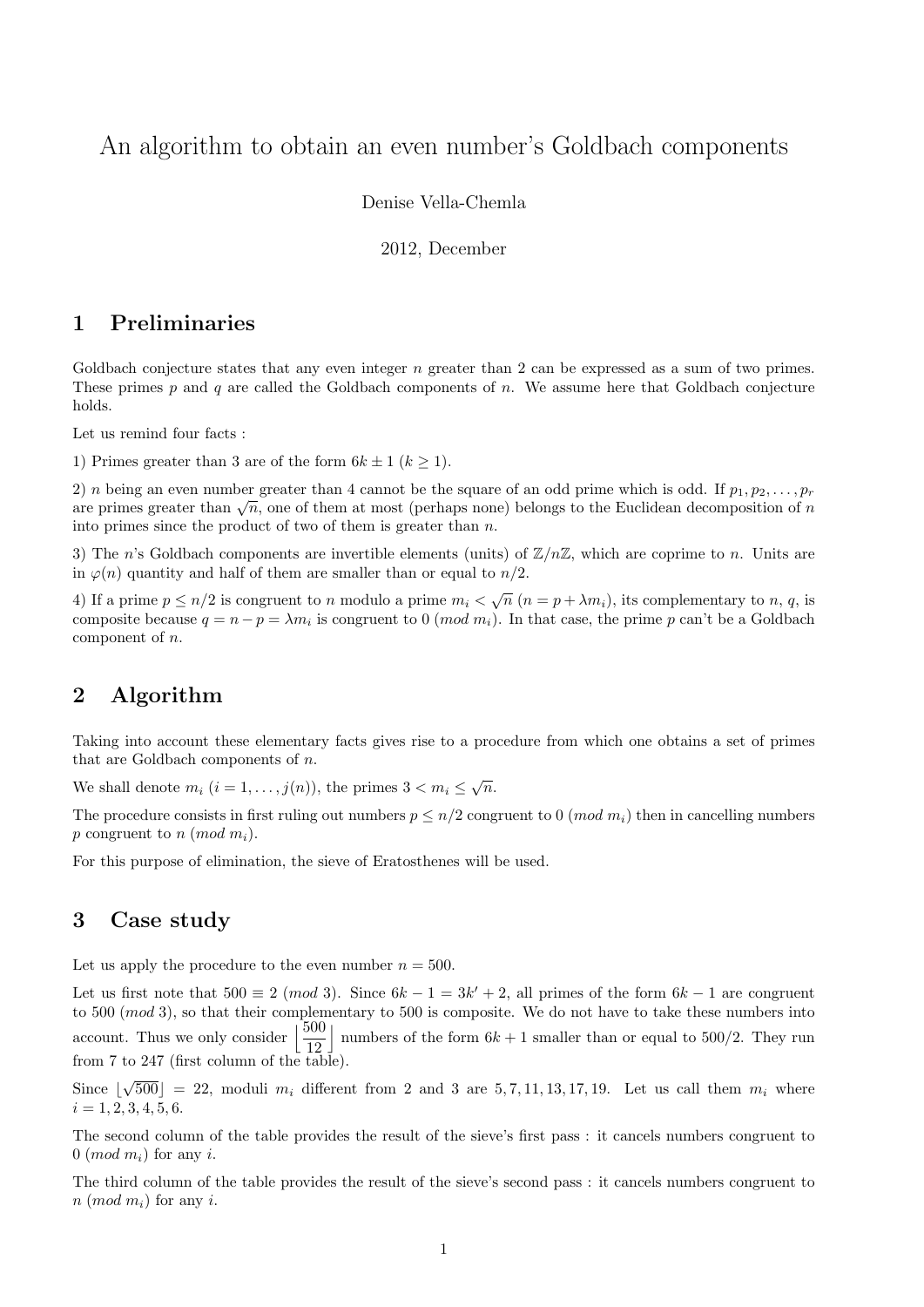# An algorithm to obtain an even number's Goldbach components

Denise Vella-Chemla

2012, December

#### 1 Preliminaries

Goldbach conjecture states that any even integer  $n$  greater than 2 can be expressed as a sum of two primes. These primes p and q are called the Goldbach components of n. We assume here that Goldbach conjecture holds.

Let us remind four facts :

1) Primes greater than 3 are of the form  $6k \pm 1$   $(k \ge 1)$ .

2) n being an even number greater than 4 cannot be the square of an odd prime which is odd. If  $p_1, p_2, \ldots, p_r$  $\alpha$  is the primes greater than  $\sqrt{n}$ , one of them at most (perhaps none) belongs to the Euclidean decomposition of n<br>are primes greater than  $\sqrt{n}$ , one of them at most (perhaps none) belongs to the Euclidean decomposit into primes since the product of two of them is greater than  $n$ .

3) The n's Goldbach components are invertible elements (units) of  $\mathbb{Z}/n\mathbb{Z}$ , which are coprime to n. Units are in  $\varphi(n)$  quantity and half of them are smaller than or equal to  $n/2$ .

4) If a prime  $p \leq n/2$  is congruent to n modulo a prime  $m_i < \sqrt{n}$   $(n = p + \lambda m_i)$ , its complementary to n, q, is composite because  $q = n - p = \lambda m_i$  is congruent to 0 (*mod*  $m_i$ ). In that case, the prime p can't be a Goldbach component of n.

## 2 Algorithm

Taking into account these elementary facts gives rise to a procedure from which one obtains a set of primes that are Goldbach components of  $n$ .

We shall denote  $m_i$   $(i = 1, ..., j(n))$ , the primes  $3 < m_i \leq \sqrt{n}$ .

The procedure consists in first ruling out numbers  $p \leq n/2$  congruent to 0 (*mod m<sub>i</sub>*) then in cancelling numbers p congruent to n (mod  $m_i$ ).

For this purpose of elimination, the sieve of Eratosthenes will be used.

#### 3 Case study

Let us apply the procedure to the even number  $n = 500$ .

Let us first note that  $500 \equiv 2 \pmod{3}$ . Since  $6k - 1 = 3k' + 2$ , all primes of the form  $6k - 1$  are congruent to 500 (mod 3), so that their complementary to 500 is composite. We do not have to take these numbers into account. Thus we only consider  $\frac{500}{100}$ 12 | numbers of the form  $6k + 1$  smaller than or equal to 500/2. They run from 7 to 247 (first column of the table).

Since | √  $500\degree$  = 22, moduli  $m_i$  different from 2 and 3 are  $5, 7, 11, 13, 17, 19$ . Let us call them  $m_i$  where  $i = 1, 2, 3, 4, 5, 6.$ 

The second column of the table provides the result of the sieve's first pass : it cancels numbers congruent to  $0 \ (mod \ m_i)$  for any i.

The third column of the table provides the result of the sieve's second pass : it cancels numbers congruent to  $n \ (mod \ m_i)$  for any i.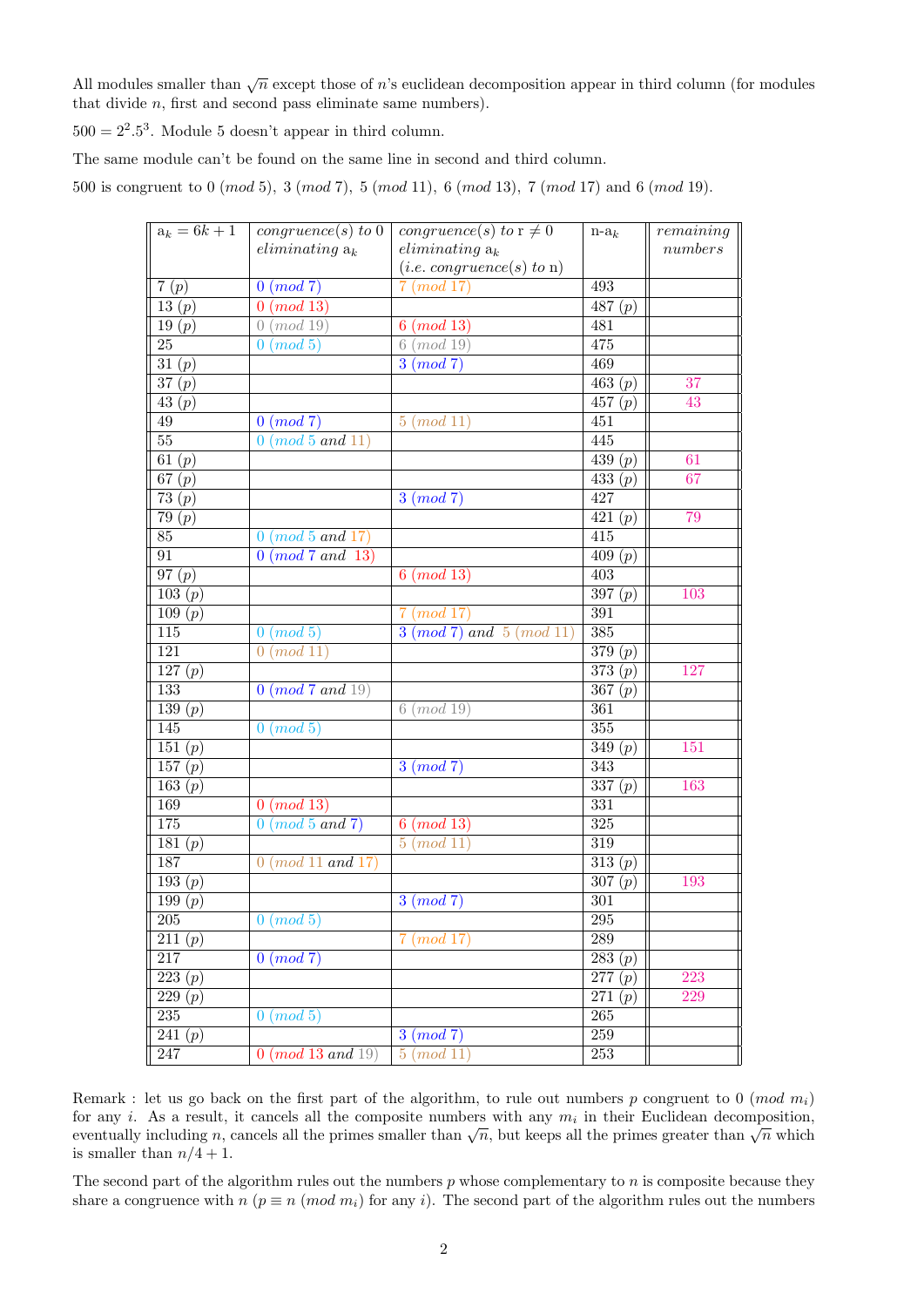All modules smaller than  $\sqrt{n}$  except those of n's euclidean decomposition appear in third column (for modules that divide n, first and second pass eliminate same numbers).

 $500 = 2^2.5^3$ . Module 5 doesn't appear in third column.

The same module can't be found on the same line in second and third column.

500 is congruent to 0 (mod 5), 3 (mod 7), 5 (mod 11), 6 (mod 13), 7 (mod 17) and 6 (mod 19).

| $\overline{a_k}=6k+1$           | congruence(s) to 0        | congruence(s) to $\overline{r\neq 0}$ | $n-a_k$                        | remaining |
|---------------------------------|---------------------------|---------------------------------------|--------------------------------|-----------|
|                                 | $eliminating a_k$         | $eliminating a_k$                     |                                | numbers   |
|                                 |                           | (i.e. congruence(s) to n)             |                                |           |
| 7(p)                            | 0 (mod 7)                 | 7 (mod 17)                            | 493                            |           |
| 13 $(p)$                        | (mod 13)<br>$\mathbf{0}$  |                                       | $\overline{487} (p)$           |           |
| 19(p)                           | (mod 19)<br>$\theta$      | $6 \ (mod \ 13)$                      | 481                            |           |
| $\overline{25}$                 | $0 \ (mod\ 5)$            | $6 \ (mod \ 19)$                      | 475                            |           |
| $\overline{31}\,(\overline{p})$ |                           | $3 \pmod{7}$                          | 469                            |           |
| $\overline{37(p)}$              |                           |                                       | $\overline{463(p)}$            | 37        |
| 43 $(p)$                        |                           |                                       | 457 $(p)$                      | 43        |
| $49\,$                          | $0 \ (mod\ 7)$            | $5 \ (mod \ 11)$                      | 451                            |           |
| $\overline{55}$                 | $0 \ (mod\ 5\ and\ 11)$   |                                       | 445                            |           |
| $\overline{61(p)}$              |                           |                                       | $\overline{439(p)}$            | 61        |
| 67 $(p)$                        |                           |                                       | $\overline{433(p)}$            | 67        |
| 73 $(p)$                        |                           | $3 \pmod{7}$                          | 427                            |           |
| $\overline{79(p)}$              |                           |                                       | $\overline{421(p)}$            | 79        |
| $85\,$                          | $0 \ (mod\ 5\ and\ 17)$   |                                       | $\overline{415}$               |           |
| 91                              | $0 \ (mod\ 7\ and\ 13)$   |                                       | $\overline{409}\left(p\right)$ |           |
| 97(p)                           |                           | $6 \ (mod \ 13)$                      | $\overline{403}$               |           |
| $\overline{103(p)}$             |                           |                                       | $\overline{3}97(p)$            | 103       |
| 109(p)                          |                           | $7 \ (mod \ 17)$                      | 391                            |           |
| 115                             | $0 \ (mod\ 5)$            | $3 \ (mod\ 7) \ and \ 5 \ (mod\ 11)$  | 385                            |           |
| 121                             | 0 (mod 11)                |                                       | $\overline{379(p)}$            |           |
| 127(p)                          |                           |                                       | $\overline{373(p)}$            | 127       |
| 133                             | 0 (mod 7 and 19)          |                                       | 367 $(p)$                      |           |
| $\overline{139(p)}$             |                           | $6 \ (mod \ 19)$                      | $\overline{361}$               |           |
| 145                             | $0 \ (mod\ 5)$            |                                       | 355                            |           |
| 151 $(p)$                       |                           |                                       | $\overline{349}(p)$            | 151       |
| 157 $(p)$                       |                           | $3 \pmod{7}$                          | 343                            |           |
| $\overline{163}\ (p)$           |                           |                                       | $\overline{337(p)}$            | 163       |
| 169                             | $0 \ (mod \ 13)$          |                                       | 331                            |           |
| 175                             | $0 \ (mod\ 5\ and\ 7)$    | $6 \ (mod \ 13)$                      | 325                            |           |
| $\overline{181}\ (p)$           |                           | $5 \ (mod \ 11)$                      | 319                            |           |
| 187                             | $0 \ (mod\ 11 \ and\ 17)$ |                                       | $\overline{313}(p)$            |           |
| 193(p)                          |                           |                                       | 307(p)                         | 193       |
| 199 $(p)$                       |                           | $3 \pmod{7}$                          | $\overline{301}$               |           |
| $\overline{205}$                | $\overline{0 \ (mod\ 5)}$ |                                       | 295                            |           |
| 211 $(p)$                       |                           | $7 \ (mod \ 17)$                      | $289\,$                        |           |
| 217                             | $0 \pmod{7}$              |                                       | 283(p)                         |           |
| 223(p)                          |                           |                                       | $\overline{277}\,(p)$          | 223       |
| $\overline{229}$ $(p)$          |                           |                                       | $\overline{271} (p)$           | 229       |
| $235\,$                         | $0 \ (mod\ 5)$            |                                       | $\overline{265}$               |           |
| 241 $(p)$                       |                           | $3 \pmod{7}$                          | $\overline{259}$               |           |
| 247                             | 0 (mod 13 and 19)         | $5 \ (mod\ 11)$                       | $\overline{253}$               |           |

Remark : let us go back on the first part of the algorithm, to rule out numbers p congruent to 0 (mod  $m_i$ ) for any i. As a result, it cancels all the composite numbers with any  $m_i$  in their Euclidean decomposition, For any *i*. As a result, it cancels all the composite numbers with any  $m_i$  in their Euchdean decomposition, eventually including *n*, cancels all the primes smaller than  $\sqrt{n}$ , but keeps all the primes greater than  $\sqrt$ is smaller than  $n/4 + 1$ .

The second part of the algorithm rules out the numbers  $p$  whose complementary to  $n$  is composite because they share a congruence with  $n (p \equiv n (mod m_i))$  for any i). The second part of the algorithm rules out the numbers